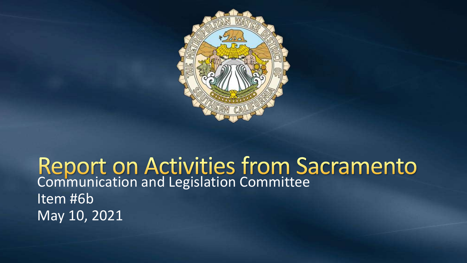

## Report on Activities from Sacramento<br>Communication and Legislation Committee Item #6b May 10, 2021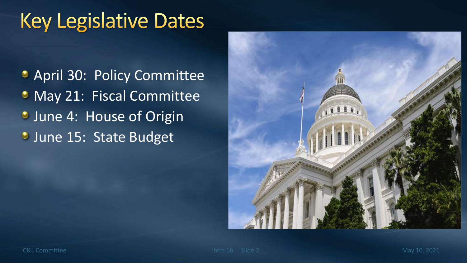## **Key Legislative Dates**

**April 30: Policy Committee** • May 21: Fiscal Committee **June 4: House of Origin June 15: State Budget** 

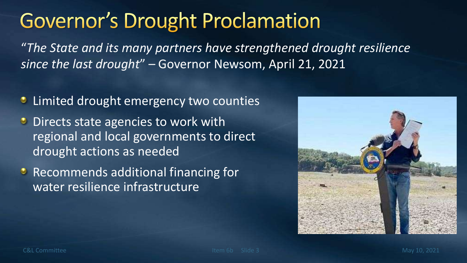## **Governor's Drought Proclamation**

"*The State and its many partners have strengthened drought resilience since the last drought*" – Governor Newsom, April 21, 2021

- **C** Limited drought emergency two counties
- **Directs state agencies to work with** regional and local governments to direct drought actions as needed
- **C** Recommends additional financing for water resilience infrastructure

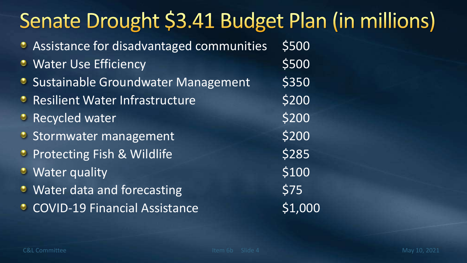# Senate Drought \$3.41 Budget Plan (in millions)

| Assistance for disadvantaged communities | \$500   |
|------------------------------------------|---------|
| <b>• Water Use Efficiency</b>            | \$500   |
| • Sustainable Groundwater Management     | \$350   |
| <b>• Resilient Water Infrastructure</b>  | \$200   |
| <b>• Recycled water</b>                  | \$200   |
| Stormwater management                    | \$200   |
| <b>• Protecting Fish &amp; Wildlife</b>  | \$285   |
| <b>U</b> Water quality                   | \$100   |
| • Water data and forecasting             | \$75    |
| <b>COVID-19 Financial Assistance</b>     | \$1,000 |
|                                          |         |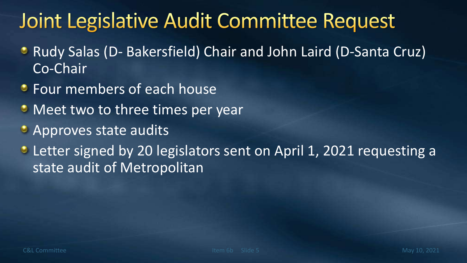## Joint Legislative Audit Committee Request

- Rudy Salas (D- Bakersfield) Chair and John Laird (D-Santa Cruz) Co-Chair
- **Four members of each house**
- Meet two to three times per year
- Approves state audits
- Letter signed by 20 legislators sent on April 1, 2021 requesting a state audit of Metropolitan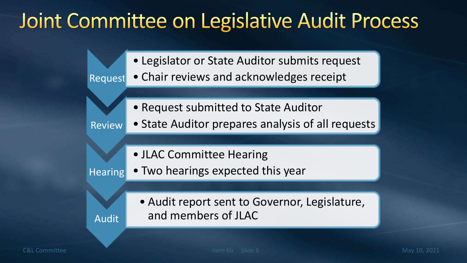## Joint Committee on Legislative Audit Process

• Legislator or State Auditor submits request • Chair reviews and acknowledges receipt

• Request submitted to State Auditor

Review • State Auditor prepares analysis of all requests

• JLAC Committee Hearing

**Hearing** • Two hearings expected this year

> • Audit report sent to Governor, Legislature, and members of JLAC

Request

Audit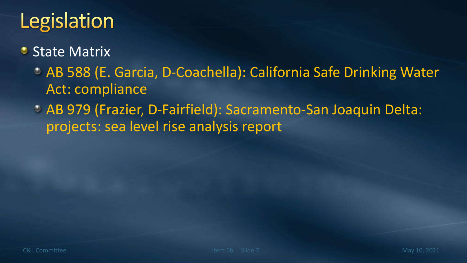# Legislation

#### State Matrix  $\bullet$

- AB 588 (E. Garcia, D-Coachella): California Safe Drinking Water Act: compliance
- AB 979 (Frazier, D-Fairfield): Sacramento-San Joaquin Delta: projects: sea level rise analysis report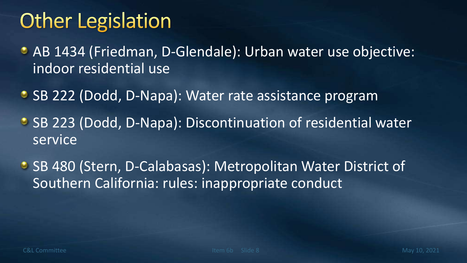#### **Other Legislation**

- AB 1434 (Friedman, D-Glendale): Urban water use objective: indoor residential use
- **SB 222 (Dodd, D-Napa): Water rate assistance program**
- SB 223 (Dodd, D-Napa): Discontinuation of residential water service
- SB 480 (Stern, D-Calabasas): Metropolitan Water District of Southern California: rules: inappropriate conduct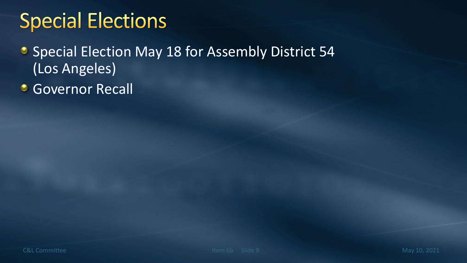## **Special Elections**

- **Special Election May 18 for Assembly District 54** (Los Angeles)
- **Governor Recall**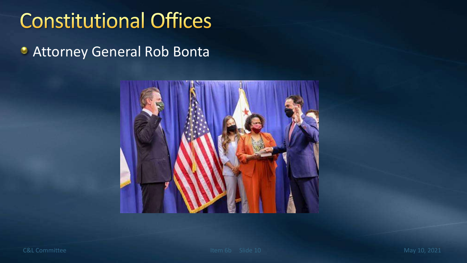## **Constitutional Offices**

**C** Attorney General Rob Bonta